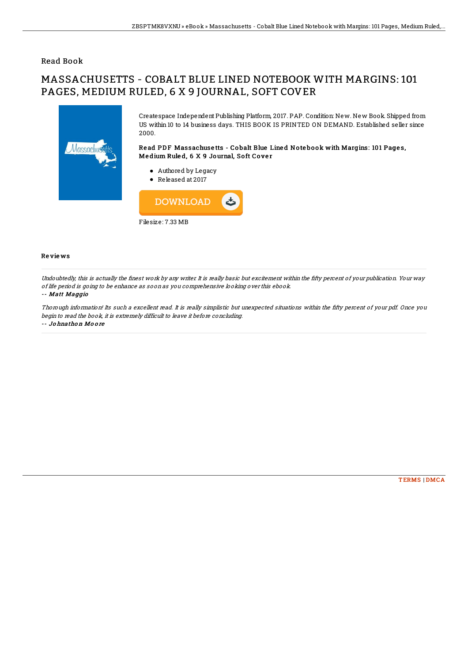### Read Book

# MASSACHUSETTS - COBALT BLUE LINED NOTEBOOK WITH MARGINS: 101 PAGES, MEDIUM RULED, 6 X 9 JOURNAL, SOFT COVER



Createspace Independent Publishing Platform, 2017. PAP. Condition: New. New Book. Shipped from US within 10 to 14 business days. THIS BOOK IS PRINTED ON DEMAND. Established seller since 2000.

Read PDF Massachusetts - Cobalt Blue Lined Notebook with Margins: 101 Pages, Medium Ruled, 6 X 9 Journal, Soft Cover

- Authored by Legacy
- Released at 2017



#### Re vie ws

Undoubtedly, this is actually the finest work by any writer. It is really basic but excitement within the fifty percent of your publication. Your way of life period is going to be enhance as soon as you comprehensive looking over this ebook.

#### -- Matt Maggio

Thorough information! Its such a excellent read. It is really simplistic but unexpected situations within the fifty percent of your pdf. Once you begin to read the book, it is extremely difficult to leave it before concluding.

-- Jo hnatho <sup>n</sup> Mo o re